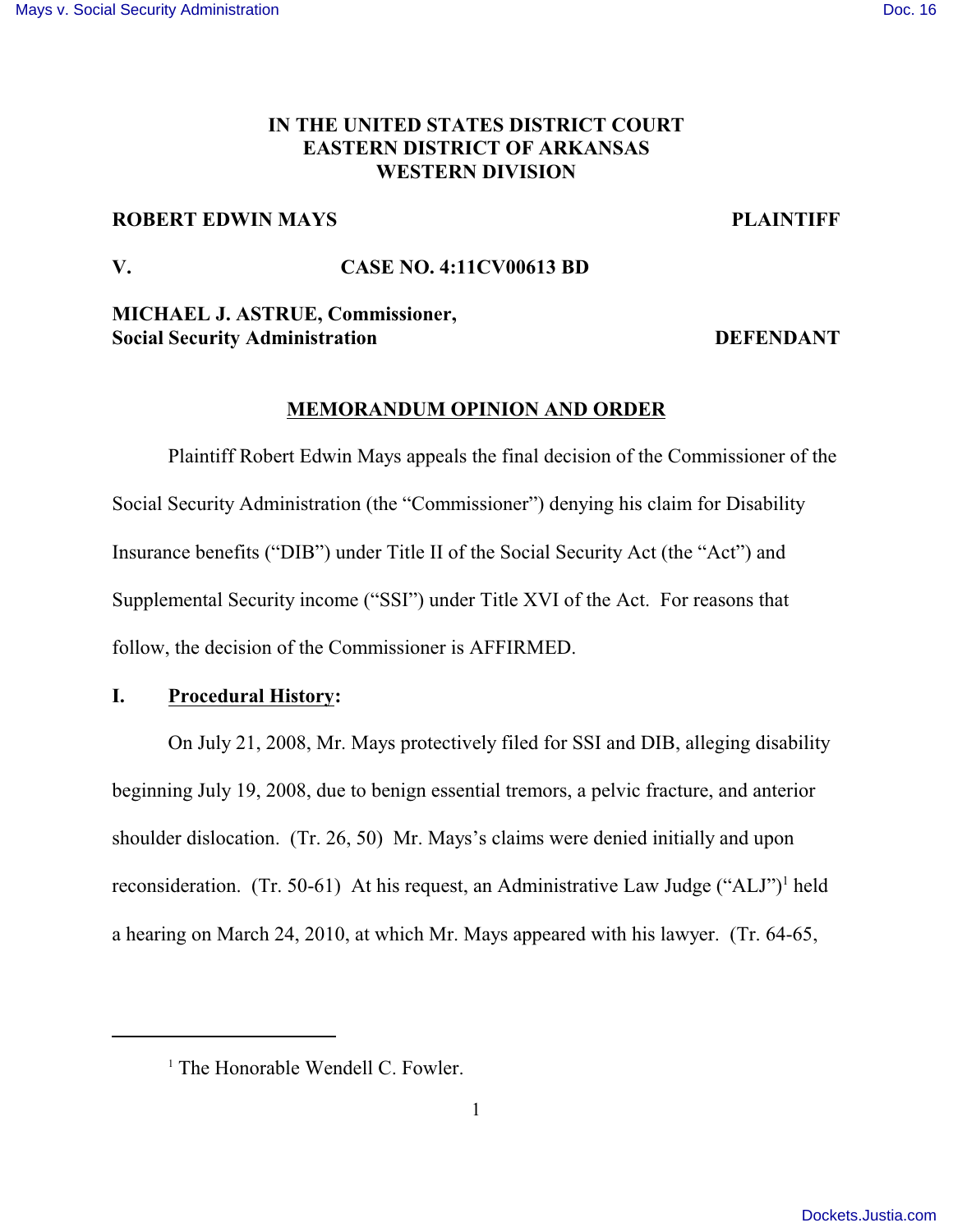# **IN THE UNITED STATES DISTRICT COURT EASTERN DISTRICT OF ARKANSAS WESTERN DIVISION**

## **ROBERT EDWIN MAYS PLAINTIFF**

# **V. CASE NO. 4:11CV00613 BD**

**MICHAEL J. ASTRUE, Commissioner, Social Security Administration DEFENDANT**

# **MEMORANDUM OPINION AND ORDER**

Plaintiff Robert Edwin Mays appeals the final decision of the Commissioner of the Social Security Administration (the "Commissioner") denying his claim for Disability Insurance benefits ("DIB") under Title II of the Social Security Act (the "Act") and Supplemental Security income ("SSI") under Title XVI of the Act. For reasons that follow, the decision of the Commissioner is AFFIRMED.

# **I. Procedural History:**

On July 21, 2008, Mr. Mays protectively filed for SSI and DIB, alleging disability beginning July 19, 2008, due to benign essential tremors, a pelvic fracture, and anterior shoulder dislocation. (Tr. 26, 50) Mr. Mays's claims were denied initially and upon reconsideration. (Tr. 50-61) At his request, an Administrative Law Judge ("ALJ")<sup>1</sup> held a hearing on March 24, 2010, at which Mr. Mays appeared with his lawyer. (Tr. 64-65,

 $<sup>1</sup>$  The Honorable Wendell C. Fowler.</sup>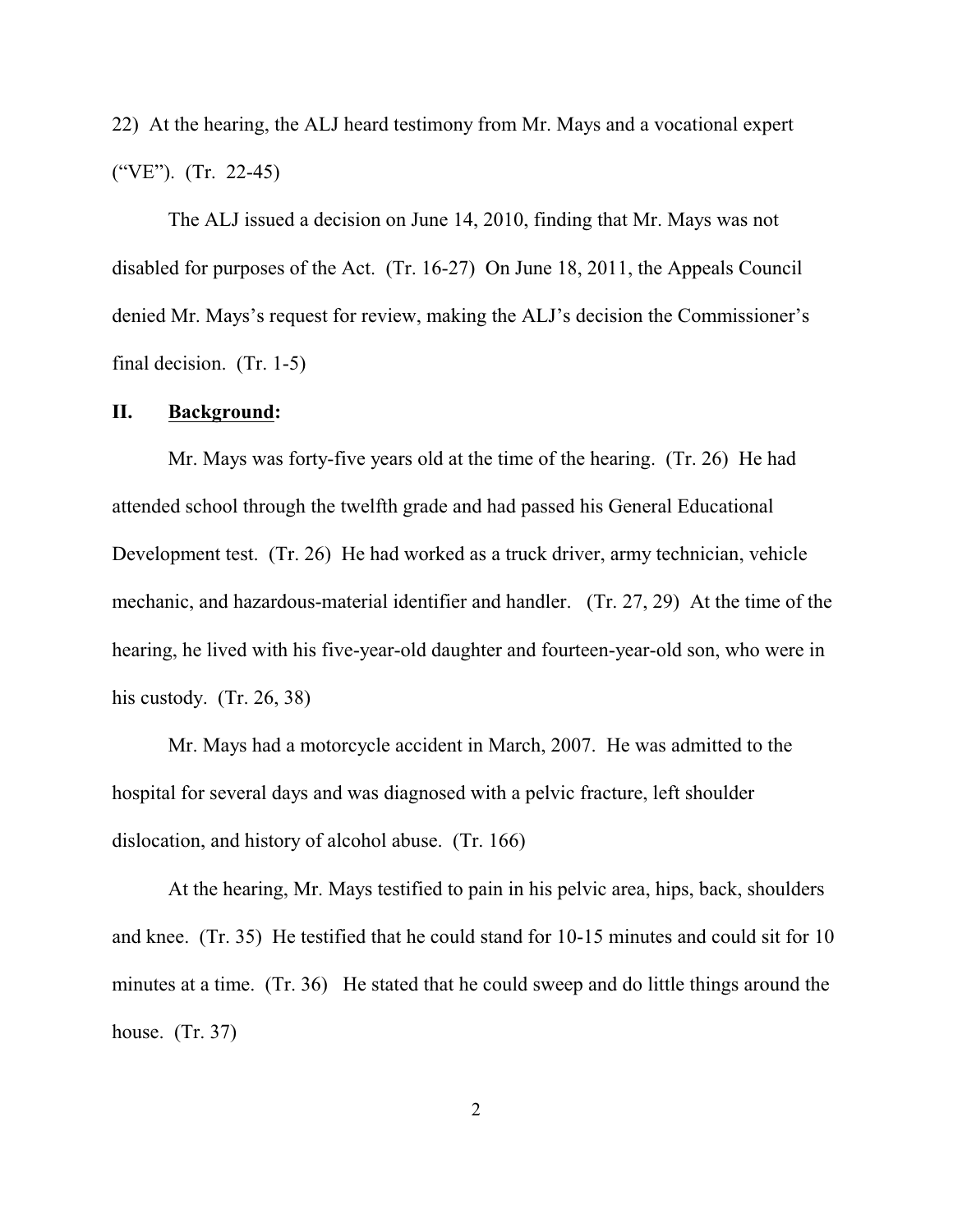22) At the hearing, the ALJ heard testimony from Mr. Mays and a vocational expert ("VE"). (Tr. 22-45)

The ALJ issued a decision on June 14, 2010, finding that Mr. Mays was not disabled for purposes of the Act. (Tr. 16-27) On June 18, 2011, the Appeals Council denied Mr. Mays's request for review, making the ALJ's decision the Commissioner's final decision. (Tr. 1-5)

#### **II. Background:**

Mr. Mays was forty-five years old at the time of the hearing. (Tr. 26) He had attended school through the twelfth grade and had passed his General Educational Development test. (Tr. 26) He had worked as a truck driver, army technician, vehicle mechanic, and hazardous-material identifier and handler. (Tr. 27, 29) At the time of the hearing, he lived with his five-year-old daughter and fourteen-year-old son, who were in his custody.  $(Tr. 26, 38)$ 

Mr. Mays had a motorcycle accident in March, 2007. He was admitted to the hospital for several days and was diagnosed with a pelvic fracture, left shoulder dislocation, and history of alcohol abuse. (Tr. 166)

At the hearing, Mr. Mays testified to pain in his pelvic area, hips, back, shoulders and knee. (Tr. 35) He testified that he could stand for 10-15 minutes and could sit for 10 minutes at a time. (Tr. 36) He stated that he could sweep and do little things around the house. (Tr. 37)

2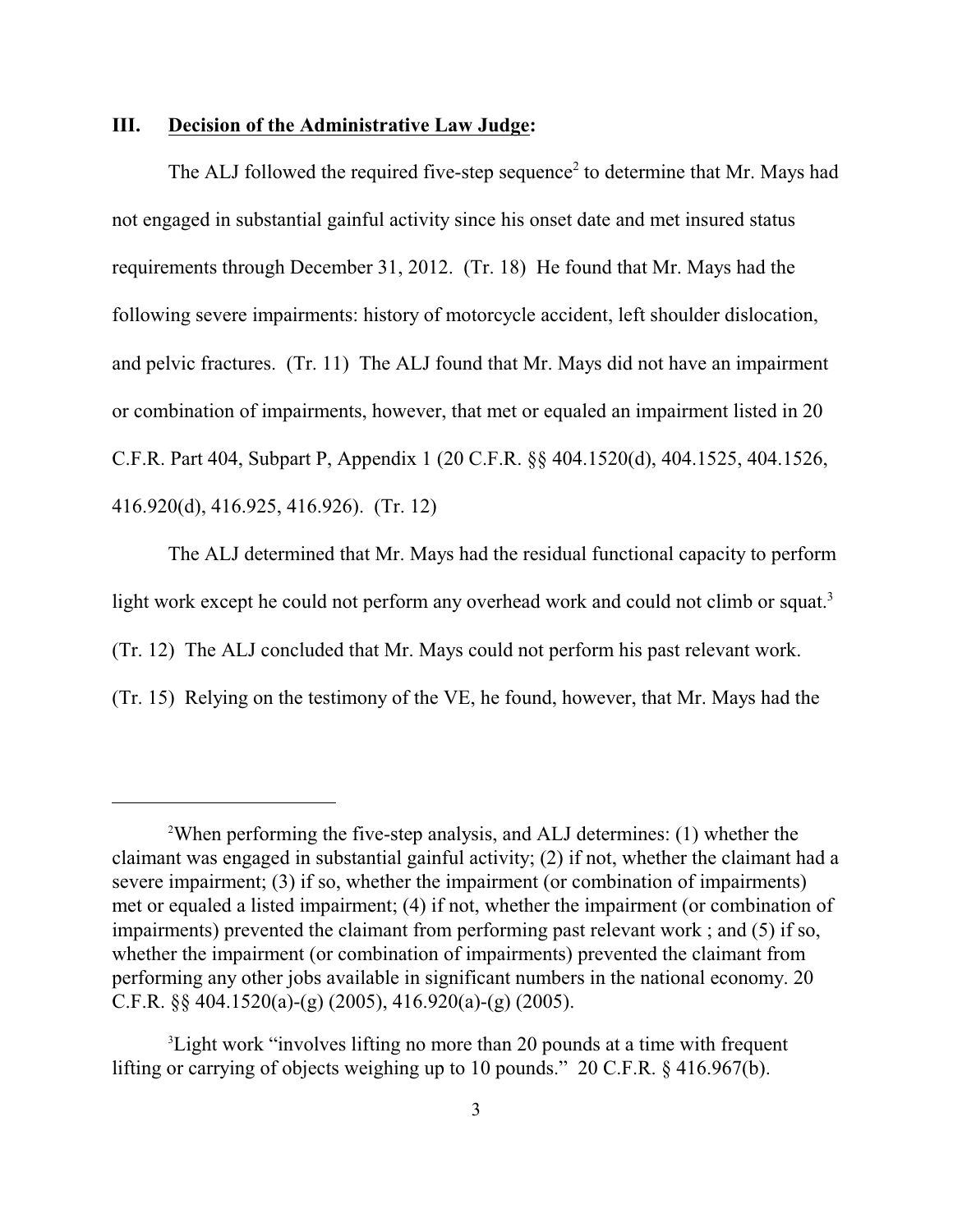#### **III. Decision of the Administrative Law Judge:**

The ALJ followed the required five-step sequence<sup>2</sup> to determine that Mr. Mays had not engaged in substantial gainful activity since his onset date and met insured status requirements through December 31, 2012. (Tr. 18) He found that Mr. Mays had the following severe impairments: history of motorcycle accident, left shoulder dislocation, and pelvic fractures. (Tr. 11) The ALJ found that Mr. Mays did not have an impairment or combination of impairments, however, that met or equaled an impairment listed in 20 C.F.R. Part 404, Subpart P, Appendix 1 (20 C.F.R. §§ 404.1520(d), 404.1525, 404.1526, 416.920(d), 416.925, 416.926). (Tr. 12)

The ALJ determined that Mr. Mays had the residual functional capacity to perform light work except he could not perform any overhead work and could not climb or squat.<sup>3</sup> (Tr. 12) The ALJ concluded that Mr. Mays could not perform his past relevant work. (Tr. 15) Relying on the testimony of the VE, he found, however, that Mr. Mays had the

<sup>&</sup>lt;sup>2</sup>When performing the five-step analysis, and ALJ determines: (1) whether the claimant was engaged in substantial gainful activity; (2) if not, whether the claimant had a severe impairment; (3) if so, whether the impairment (or combination of impairments) met or equaled a listed impairment; (4) if not, whether the impairment (or combination of impairments) prevented the claimant from performing past relevant work ; and (5) if so, whether the impairment (or combination of impairments) prevented the claimant from performing any other jobs available in significant numbers in the national economy. 20 C.F.R.  $\S$ § 404.1520(a)-(g) (2005), 416.920(a)-(g) (2005).

<sup>&</sup>lt;sup>3</sup> Light work "involves lifting no more than 20 pounds at a time with frequent lifting or carrying of objects weighing up to 10 pounds." 20 C.F.R. § 416.967(b).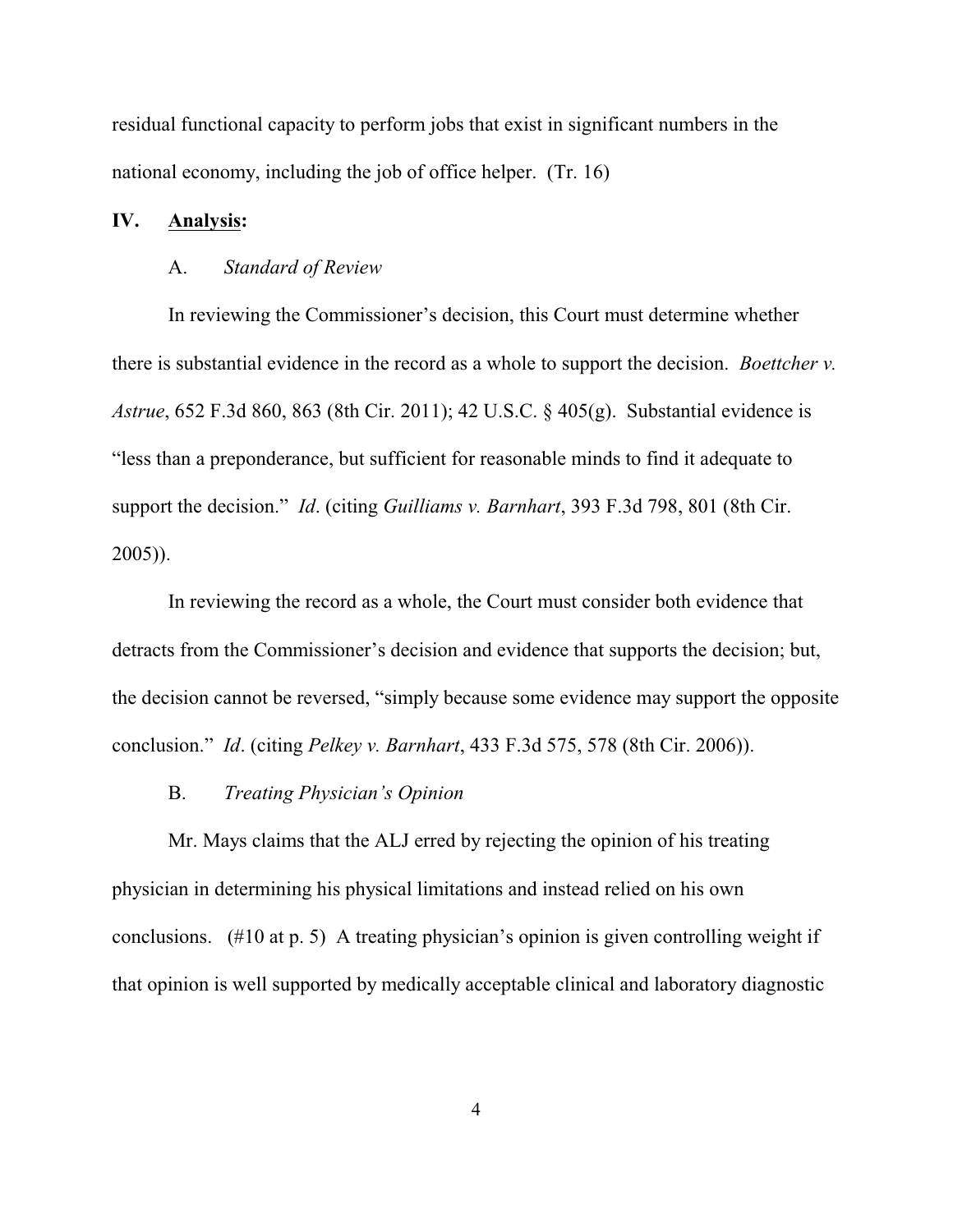residual functional capacity to perform jobs that exist in significant numbers in the national economy, including the job of office helper. (Tr. 16)

## **IV. Analysis:**

#### A. *Standard of Review*

In reviewing the Commissioner's decision, this Court must determine whether there is substantial evidence in the record as a whole to support the decision. *Boettcher v. Astrue*, 652 F.3d 860, 863 (8th Cir. 2011); 42 U.S.C. § 405(g). Substantial evidence is "less than a preponderance, but sufficient for reasonable minds to find it adequate to support the decision." *Id*. (citing *Guilliams v. Barnhart*, 393 F.3d 798, 801 (8th Cir. 2005)).

In reviewing the record as a whole, the Court must consider both evidence that detracts from the Commissioner's decision and evidence that supports the decision; but, the decision cannot be reversed, "simply because some evidence may support the opposite conclusion." *Id*. (citing *Pelkey v. Barnhart*, 433 F.3d 575, 578 (8th Cir. 2006)).

B. *Treating Physician's Opinion*

Mr. Mays claims that the ALJ erred by rejecting the opinion of his treating physician in determining his physical limitations and instead relied on his own conclusions. (#10 at p. 5) A treating physician's opinion is given controlling weight if that opinion is well supported by medically acceptable clinical and laboratory diagnostic

4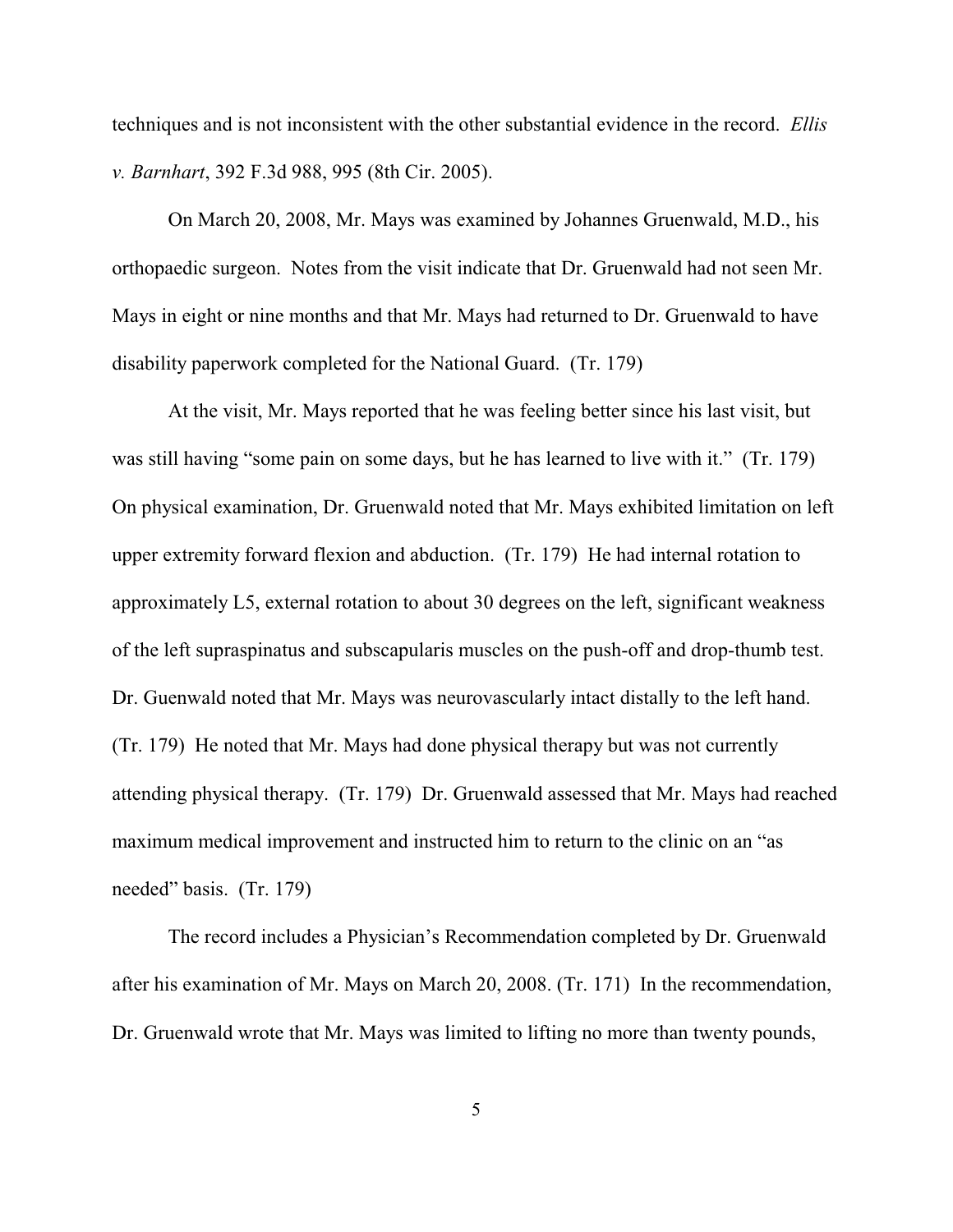techniques and is not inconsistent with the other substantial evidence in the record. *Ellis v. Barnhart*, 392 F.3d 988, 995 (8th Cir. 2005).

On March 20, 2008, Mr. Mays was examined by Johannes Gruenwald, M.D., his orthopaedic surgeon. Notes from the visit indicate that Dr. Gruenwald had not seen Mr. Mays in eight or nine months and that Mr. Mays had returned to Dr. Gruenwald to have disability paperwork completed for the National Guard. (Tr. 179)

At the visit, Mr. Mays reported that he was feeling better since his last visit, but was still having "some pain on some days, but he has learned to live with it." (Tr. 179) On physical examination, Dr. Gruenwald noted that Mr. Mays exhibited limitation on left upper extremity forward flexion and abduction. (Tr. 179) He had internal rotation to approximately L5, external rotation to about 30 degrees on the left, significant weakness of the left supraspinatus and subscapularis muscles on the push-off and drop-thumb test. Dr. Guenwald noted that Mr. Mays was neurovascularly intact distally to the left hand. (Tr. 179) He noted that Mr. Mays had done physical therapy but was not currently attending physical therapy. (Tr. 179) Dr. Gruenwald assessed that Mr. Mays had reached maximum medical improvement and instructed him to return to the clinic on an "as needed" basis. (Tr. 179)

The record includes a Physician's Recommendation completed by Dr. Gruenwald after his examination of Mr. Mays on March 20, 2008. (Tr. 171) In the recommendation, Dr. Gruenwald wrote that Mr. Mays was limited to lifting no more than twenty pounds,

5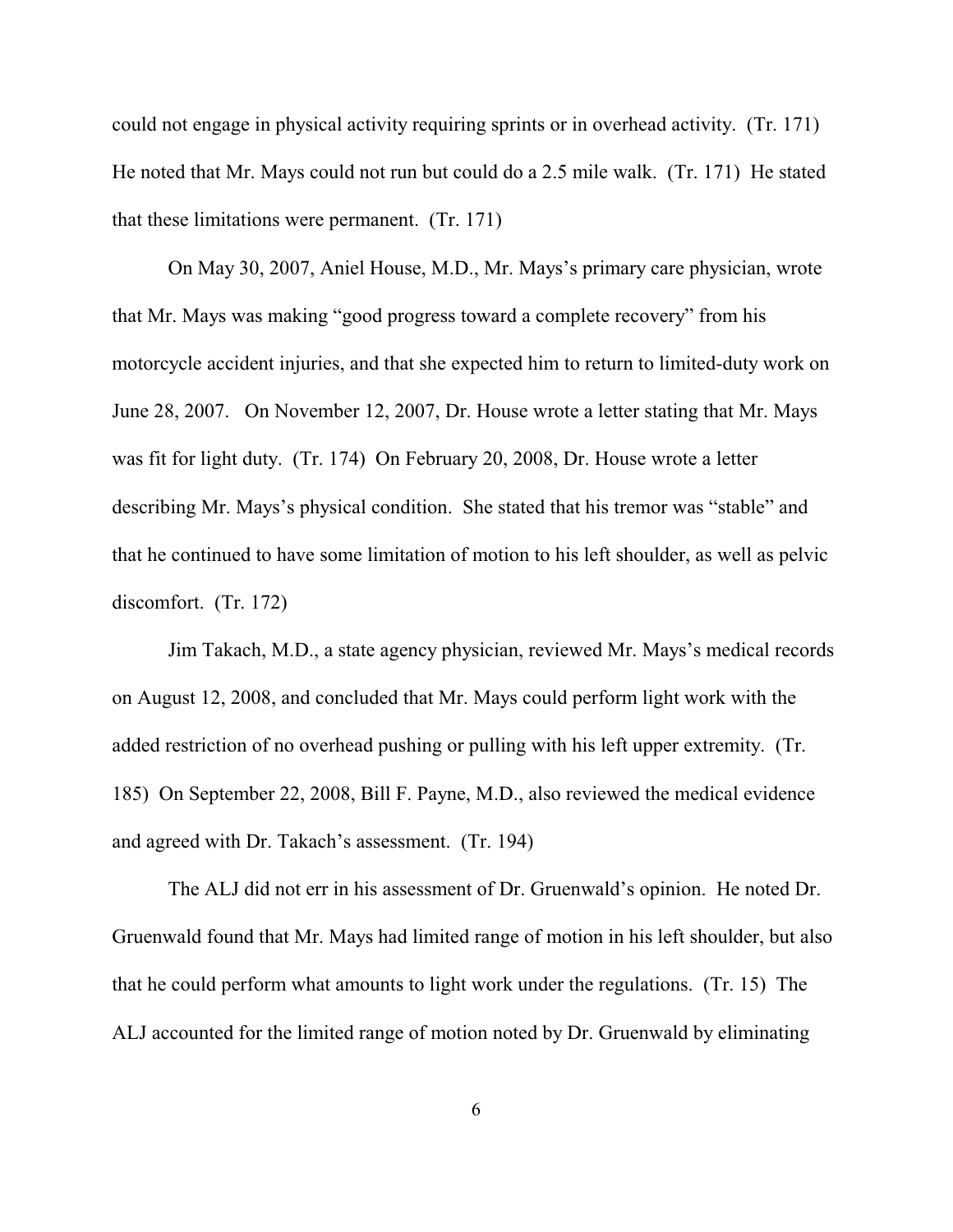could not engage in physical activity requiring sprints or in overhead activity. (Tr. 171) He noted that Mr. Mays could not run but could do a 2.5 mile walk. (Tr. 171) He stated that these limitations were permanent. (Tr. 171)

On May 30, 2007, Aniel House, M.D., Mr. Mays's primary care physician, wrote that Mr. Mays was making "good progress toward a complete recovery" from his motorcycle accident injuries, and that she expected him to return to limited-duty work on June 28, 2007. On November 12, 2007, Dr. House wrote a letter stating that Mr. Mays was fit for light duty. (Tr. 174) On February 20, 2008, Dr. House wrote a letter describing Mr. Mays's physical condition. She stated that his tremor was "stable" and that he continued to have some limitation of motion to his left shoulder, as well as pelvic discomfort. (Tr. 172)

Jim Takach, M.D., a state agency physician, reviewed Mr. Mays's medical records on August 12, 2008, and concluded that Mr. Mays could perform light work with the added restriction of no overhead pushing or pulling with his left upper extremity. (Tr. 185) On September 22, 2008, Bill F. Payne, M.D., also reviewed the medical evidence and agreed with Dr. Takach's assessment. (Tr. 194)

The ALJ did not err in his assessment of Dr. Gruenwald's opinion. He noted Dr. Gruenwald found that Mr. Mays had limited range of motion in his left shoulder, but also that he could perform what amounts to light work under the regulations. (Tr. 15) The ALJ accounted for the limited range of motion noted by Dr. Gruenwald by eliminating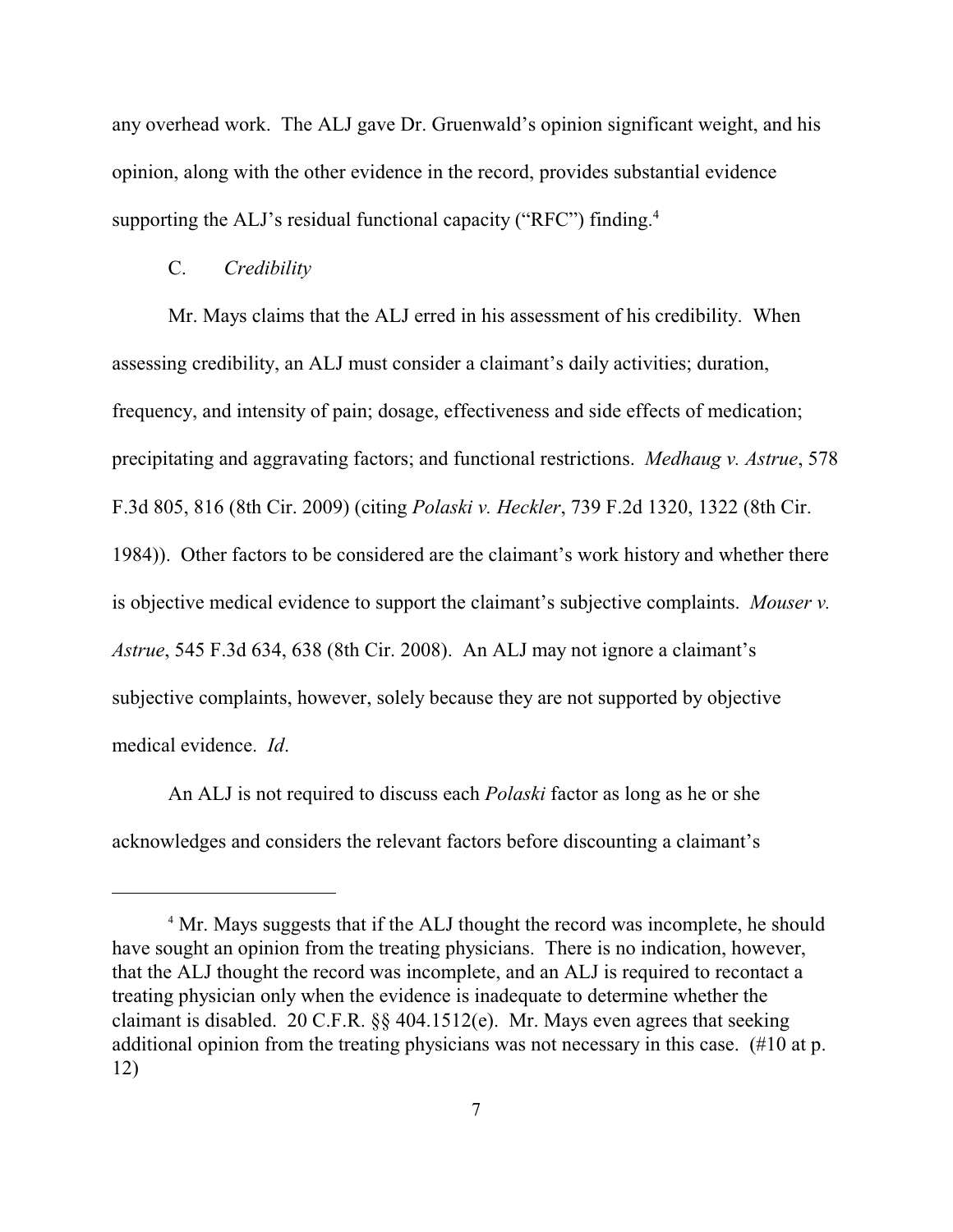any overhead work. The ALJ gave Dr. Gruenwald's opinion significant weight, and his opinion, along with the other evidence in the record, provides substantial evidence supporting the ALJ's residual functional capacity ("RFC") finding.<sup>4</sup>

## C. *Credibility*

Mr. Mays claims that the ALJ erred in his assessment of his credibility. When assessing credibility, an ALJ must consider a claimant's daily activities; duration, frequency, and intensity of pain; dosage, effectiveness and side effects of medication; precipitating and aggravating factors; and functional restrictions. *Medhaug v. Astrue*, 578 F.3d 805, 816 (8th Cir. 2009) (citing *Polaski v. Heckler*, 739 F.2d 1320, 1322 (8th Cir. 1984)). Other factors to be considered are the claimant's work history and whether there is objective medical evidence to support the claimant's subjective complaints. *Mouser v. Astrue*, 545 F.3d 634, 638 (8th Cir. 2008). An ALJ may not ignore a claimant's subjective complaints, however, solely because they are not supported by objective medical evidence. *Id*.

An ALJ is not required to discuss each *Polaski* factor as long as he or she acknowledges and considers the relevant factors before discounting a claimant's

<sup>&</sup>lt;sup>4</sup> Mr. Mays suggests that if the ALJ thought the record was incomplete, he should have sought an opinion from the treating physicians. There is no indication, however, that the ALJ thought the record was incomplete, and an ALJ is required to recontact a treating physician only when the evidence is inadequate to determine whether the claimant is disabled. 20 C.F.R. §§ 404.1512(e). Mr. Mays even agrees that seeking additional opinion from the treating physicians was not necessary in this case. (#10 at p. 12)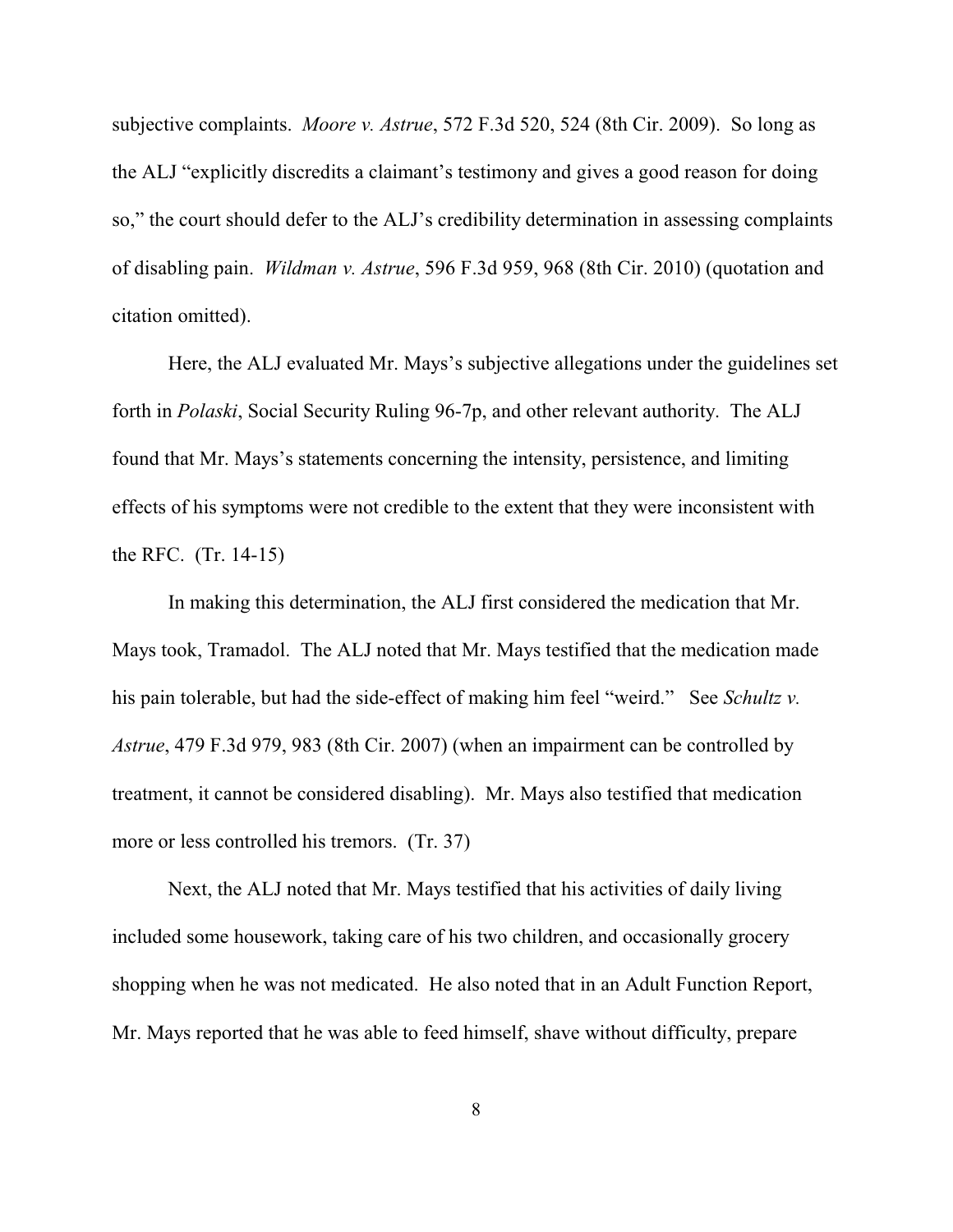subjective complaints. *Moore v. Astrue*, 572 F.3d 520, 524 (8th Cir. 2009). So long as the ALJ "explicitly discredits a claimant's testimony and gives a good reason for doing so," the court should defer to the ALJ's credibility determination in assessing complaints of disabling pain. *Wildman v. Astrue*, 596 F.3d 959, 968 (8th Cir. 2010) (quotation and citation omitted).

Here, the ALJ evaluated Mr. Mays's subjective allegations under the guidelines set forth in *Polaski*, Social Security Ruling 96-7p, and other relevant authority. The ALJ found that Mr. Mays's statements concerning the intensity, persistence, and limiting effects of his symptoms were not credible to the extent that they were inconsistent with the RFC. (Tr. 14-15)

In making this determination, the ALJ first considered the medication that Mr. Mays took, Tramadol. The ALJ noted that Mr. Mays testified that the medication made his pain tolerable, but had the side-effect of making him feel "weird." See *Schultz v. Astrue*, 479 F.3d 979, 983 (8th Cir. 2007) (when an impairment can be controlled by treatment, it cannot be considered disabling). Mr. Mays also testified that medication more or less controlled his tremors. (Tr. 37)

Next, the ALJ noted that Mr. Mays testified that his activities of daily living included some housework, taking care of his two children, and occasionally grocery shopping when he was not medicated. He also noted that in an Adult Function Report, Mr. Mays reported that he was able to feed himself, shave without difficulty, prepare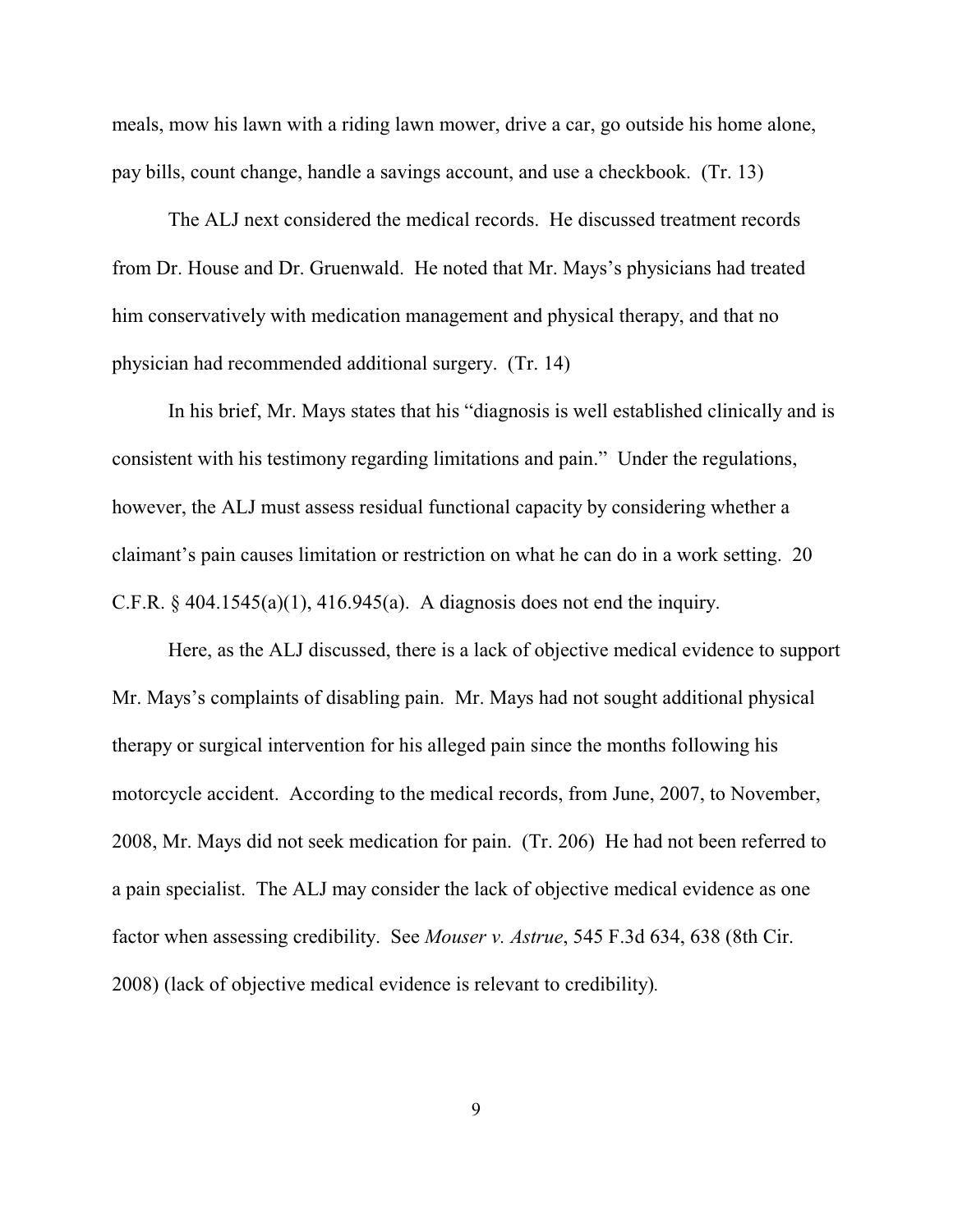meals, mow his lawn with a riding lawn mower, drive a car, go outside his home alone, pay bills, count change, handle a savings account, and use a checkbook. (Tr. 13)

The ALJ next considered the medical records. He discussed treatment records from Dr. House and Dr. Gruenwald. He noted that Mr. Mays's physicians had treated him conservatively with medication management and physical therapy, and that no physician had recommended additional surgery. (Tr. 14)

In his brief, Mr. Mays states that his "diagnosis is well established clinically and is consistent with his testimony regarding limitations and pain." Under the regulations, however, the ALJ must assess residual functional capacity by considering whether a claimant's pain causes limitation or restriction on what he can do in a work setting. 20 C.F.R.  $\S$  404.1545(a)(1), 416.945(a). A diagnosis does not end the inquiry.

Here, as the ALJ discussed, there is a lack of objective medical evidence to support Mr. Mays's complaints of disabling pain. Mr. Mays had not sought additional physical therapy or surgical intervention for his alleged pain since the months following his motorcycle accident. According to the medical records, from June, 2007, to November, 2008, Mr. Mays did not seek medication for pain. (Tr. 206) He had not been referred to a pain specialist. The ALJ may consider the lack of objective medical evidence as one factor when assessing credibility. See *Mouser v. Astrue*, 545 F.3d 634, 638 (8th Cir. 2008) (lack of objective medical evidence is relevant to credibility)*.*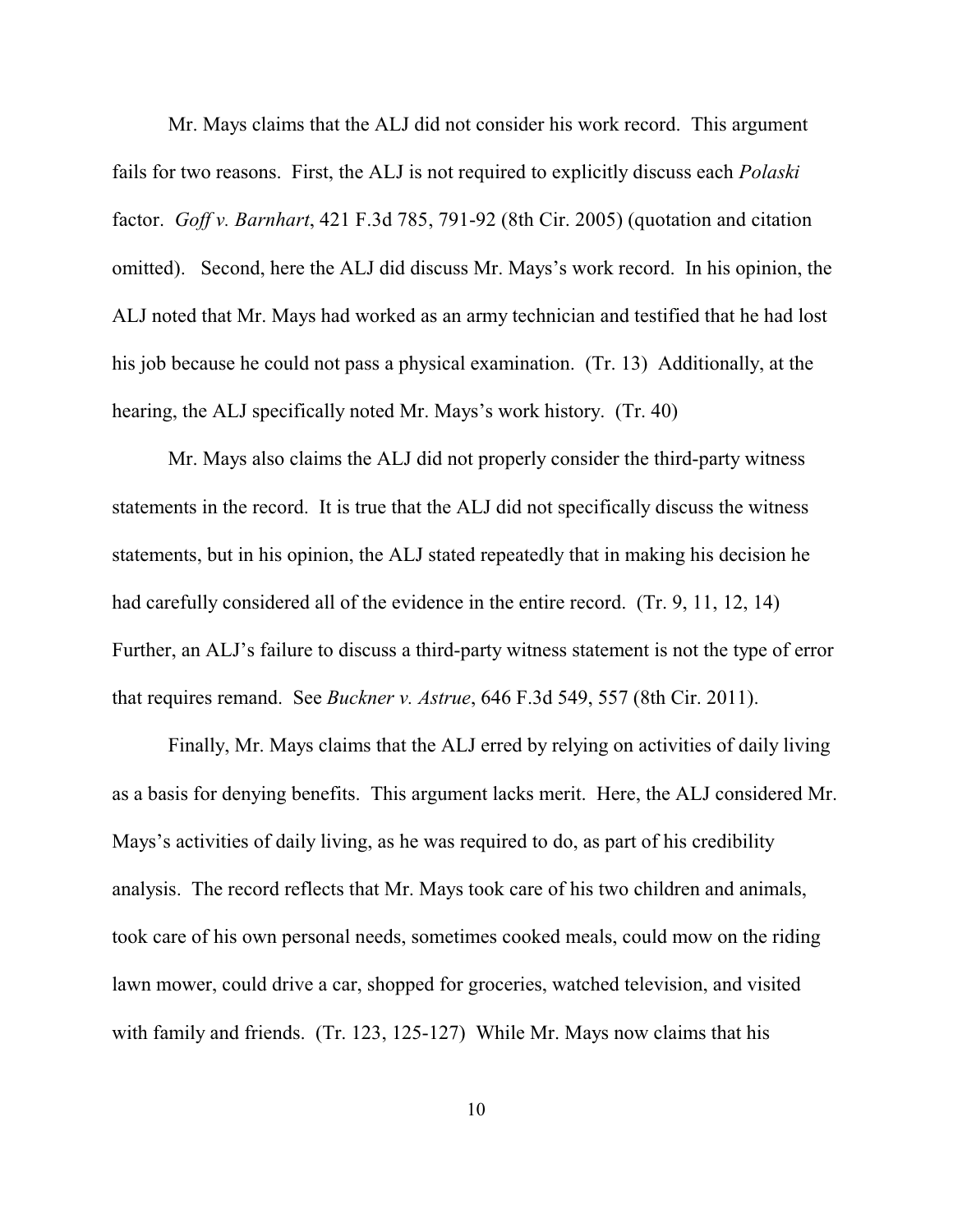Mr. Mays claims that the ALJ did not consider his work record. This argument fails for two reasons. First, the ALJ is not required to explicitly discuss each *Polaski* factor. *Goff v. Barnhart*, 421 F.3d 785, 791-92 (8th Cir. 2005) (quotation and citation omitted). Second, here the ALJ did discuss Mr. Mays's work record. In his opinion, the ALJ noted that Mr. Mays had worked as an army technician and testified that he had lost his job because he could not pass a physical examination. (Tr. 13) Additionally, at the hearing, the ALJ specifically noted Mr. Mays's work history. (Tr. 40)

Mr. Mays also claims the ALJ did not properly consider the third-party witness statements in the record. It is true that the ALJ did not specifically discuss the witness statements, but in his opinion, the ALJ stated repeatedly that in making his decision he had carefully considered all of the evidence in the entire record. (Tr. 9, 11, 12, 14) Further, an ALJ's failure to discuss a third-party witness statement is not the type of error that requires remand. See *Buckner v. Astrue*, 646 F.3d 549, 557 (8th Cir. 2011).

Finally, Mr. Mays claims that the ALJ erred by relying on activities of daily living as a basis for denying benefits. This argument lacks merit. Here, the ALJ considered Mr. Mays's activities of daily living, as he was required to do, as part of his credibility analysis. The record reflects that Mr. Mays took care of his two children and animals, took care of his own personal needs, sometimes cooked meals, could mow on the riding lawn mower, could drive a car, shopped for groceries, watched television, and visited with family and friends. (Tr. 123, 125-127) While Mr. Mays now claims that his